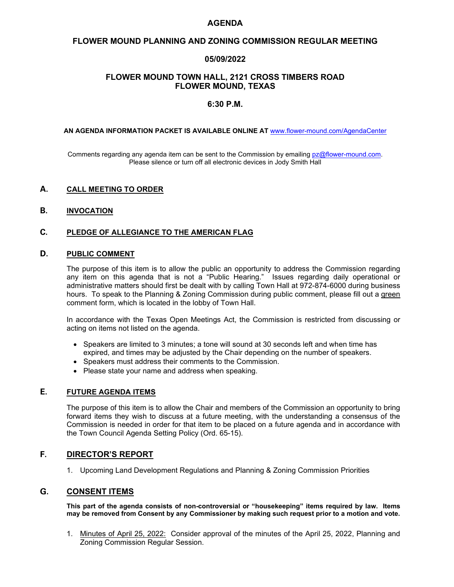#### **AGENDA**

# **FLOWER MOUND PLANNING AND ZONING COMMISSION REGULAR MEETING**

# **05/09/2022**

# **FLOWER MOUND TOWN HALL, 2121 CROSS TIMBERS ROAD FLOWER MOUND, TEXAS**

# **6:30 P.M.**

#### ----------

**AN AGENDA INFORMATION PACKET IS AVAILABLE ONLINE AT** [www.flower-mound.com/AgendaCenter](http://www.flower-mound.com/AgendaCenter)

Comments regarding any agenda item can be sent to the Commission by emailing [pz@flower-mound.com.](mailto:pz@flower-mound.com) Please silence or turn off all electronic devices in Jody Smith Hall

#### **A. CALL MEETING TO ORDER**

#### **B. INVOCATION**

# **C. PLEDGE OF ALLEGIANCE TO THE AMERICAN FLAG**

#### **D. PUBLIC COMMENT**

The purpose of this item is to allow the public an opportunity to address the Commission regarding any item on this agenda that is not a "Public Hearing." Issues regarding daily operational or administrative matters should first be dealt with by calling Town Hall at 972-874-6000 during business hours. To speak to the Planning & Zoning Commission during public comment, please fill out a green comment form, which is located in the lobby of Town Hall.

In accordance with the Texas Open Meetings Act, the Commission is restricted from discussing or acting on items not listed on the agenda.

- Speakers are limited to 3 minutes; a tone will sound at 30 seconds left and when time has expired, and times may be adjusted by the Chair depending on the number of speakers.
- Speakers must address their comments to the Commission.
- Please state your name and address when speaking.

# **E. FUTURE AGENDA ITEMS**

The purpose of this item is to allow the Chair and members of the Commission an opportunity to bring forward items they wish to discuss at a future meeting, with the understanding a consensus of the Commission is needed in order for that item to be placed on a future agenda and in accordance with the Town Council Agenda Setting Policy (Ord. 65-15).

# **F. DIRECTOR'S REPORT**

1. Upcoming Land Development Regulations and Planning & Zoning Commission Priorities

# **G. CONSENT ITEMS**

**This part of the agenda consists of non-controversial or "housekeeping" items required by law. Items may be removed from Consent by any Commissioner by making such request prior to a motion and vote.**

1. Minutes of April 25, 2022: Consider approval of the minutes of the April 25, 2022, Planning and Zoning Commission Regular Session.